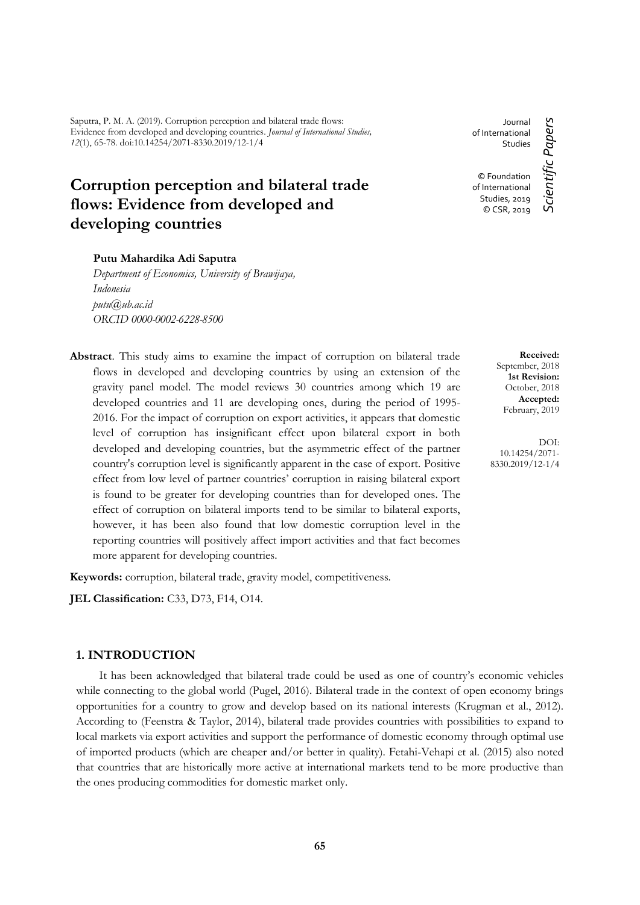Saputra, P. M. A. (2019). Corruption perception and bilateral trade flows: Evidence from developed and developing countries. *Journal of International Studies, 12*(1), 65-78. doi:10.14254/2071-8330.2019/12-1/4

# **Corruption perception and bilateral trade flows: Evidence from developed and developing countries**

#### **Putu Mahardika Adi Saputra**

*Department of Economics, University of Brawijaya, Indonesia putu@ub.ac.id ORCID 0000-0002-6228-8500*

**Abstract**. This study aims to examine the impact of corruption on bilateral trade flows in developed and developing countries by using an extension of the gravity panel model. The model reviews 30 countries among which 19 are developed countries and 11 are developing ones, during the period of 1995- 2016. For the impact of corruption on export activities, it appears that domestic level of corruption has insignificant effect upon bilateral export in both developed and developing countries, but the asymmetric effect of the partner country's corruption level is significantly apparent in the case of export. Positive effect from low level of partner countries' corruption in raising bilateral export is found to be greater for developing countries than for developed ones. The effect of corruption on bilateral imports tend to be similar to bilateral exports, however, it has been also found that low domestic corruption level in the reporting countries will positively affect import activities and that fact becomes more apparent for developing countries.

**Keywords:** corruption, bilateral trade, gravity model, competitiveness.

**JEL Classification:** C33, D73, F14, O14.

## **1. INTRODUCTION**

It has been acknowledged that bilateral trade could be used as one of country's economic vehicles while connecting to the global world (Pugel, 2016). Bilateral trade in the context of open economy brings opportunities for a country to grow and develop based on its national interests (Krugman et al., 2012). According to (Feenstra & Taylor, 2014), bilateral trade provides countries with possibilities to expand to local markets via export activities and support the performance of domestic economy through optimal use of imported products (which are cheaper and/or better in quality). Fetahi-Vehapi et al. (2015) also noted that countries that are historically more active at international markets tend to be more productive than the ones producing commodities for domestic market only.

Journal Scientific Papers *Scientific Papers* of International Studies © Foundation of International Studies, 2019 © CSR, 2019

> **Received:** September, 2018 **1st Revision:** October, 2018 **Accepted:** February, 2019

DOI: 10.14254/2071- 8330.2019/12-1/4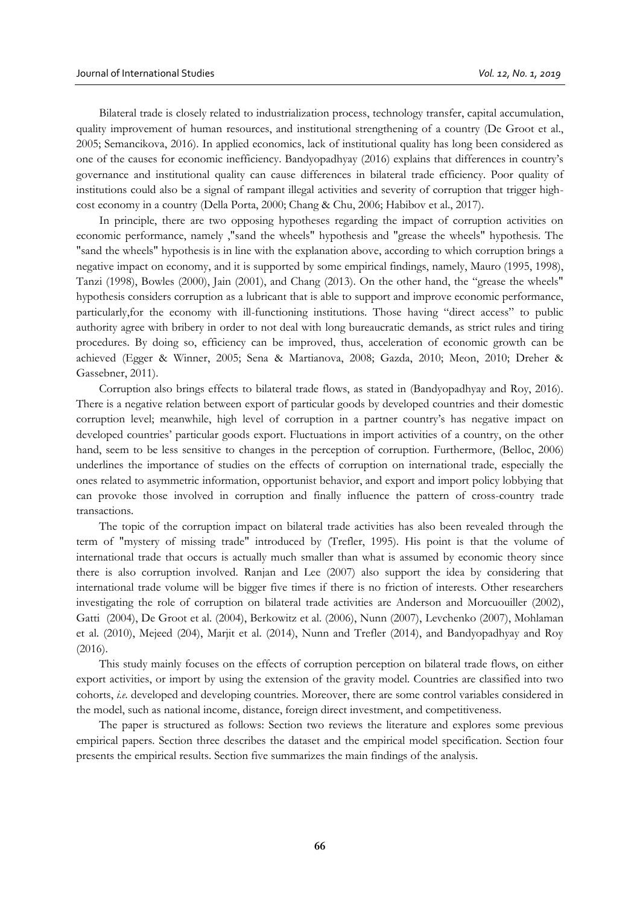Bilateral trade is closely related to industrialization process, technology transfer, capital accumulation, quality improvement of human resources, and institutional strengthening of a country (De Groot et al., 2005; Semancikova, 2016). In applied economics, lack of institutional quality has long been considered as one of the causes for economic inefficiency. Bandyopadhyay (2016) explains that differences in country's governance and institutional quality can cause differences in bilateral trade efficiency. Poor quality of institutions could also be a signal of rampant illegal activities and severity of corruption that trigger highcost economy in a country (Della Porta, 2000; Chang & Chu, 2006; Habibov et al., 2017).

In principle, there are two opposing hypotheses regarding the impact of corruption activities on economic performance, namely ,"sand the wheels" hypothesis and "grease the wheels" hypothesis. The "sand the wheels" hypothesis is in line with the explanation above, according to which corruption brings a negative impact on economy, and it is supported by some empirical findings, namely, Mauro (1995, 1998), Tanzi (1998), Bowles (2000), Jain (2001), and Chang (2013). On the other hand, the "grease the wheels" hypothesis considers corruption as a lubricant that is able to support and improve economic performance, particularly,for the economy with ill-functioning institutions. Those having "direct access" to public authority agree with bribery in order to not deal with long bureaucratic demands, as strict rules and tiring procedures. By doing so, efficiency can be improved, thus, acceleration of economic growth can be achieved (Egger & Winner, 2005; Sena & Martianova, 2008; Gazda, 2010; Meon, 2010; Dreher & Gassebner, 2011).

Corruption also brings effects to bilateral trade flows, as stated in (Bandyopadhyay and Roy, 2016). There is a negative relation between export of particular goods by developed countries and their domestic corruption level; meanwhile, high level of corruption in a partner country's has negative impact on developed countries' particular goods export. Fluctuations in import activities of a country, on the other hand, seem to be less sensitive to changes in the perception of corruption. Furthermore, (Belloc, 2006) underlines the importance of studies on the effects of corruption on international trade, especially the ones related to asymmetric information, opportunist behavior, and export and import policy lobbying that can provoke those involved in corruption and finally influence the pattern of cross-country trade transactions.

The topic of the corruption impact on bilateral trade activities has also been revealed through the term of "mystery of missing trade" introduced by (Trefler, 1995). His point is that the volume of international trade that occurs is actually much smaller than what is assumed by economic theory since there is also corruption involved. Ranjan and Lee (2007) also support the idea by considering that international trade volume will be bigger five times if there is no friction of interests. Other researchers investigating the role of corruption on bilateral trade activities are Anderson and Morcuouiller (2002), Gatti (2004), De Groot et al. (2004), Berkowitz et al. (2006), Nunn (2007), Levchenko (2007), Mohlaman et al. (2010), Mejeed (204), Marjit et al. (2014), Nunn and Trefler (2014), and Bandyopadhyay and Roy (2016).

This study mainly focuses on the effects of corruption perception on bilateral trade flows, on either export activities, or import by using the extension of the gravity model. Countries are classified into two cohorts, *i.e.* developed and developing countries. Moreover, there are some control variables considered in the model, such as national income, distance, foreign direct investment, and competitiveness.

The paper is structured as follows: Section two reviews the literature and explores some previous empirical papers. Section three describes the dataset and the empirical model specification. Section four presents the empirical results. Section five summarizes the main findings of the analysis.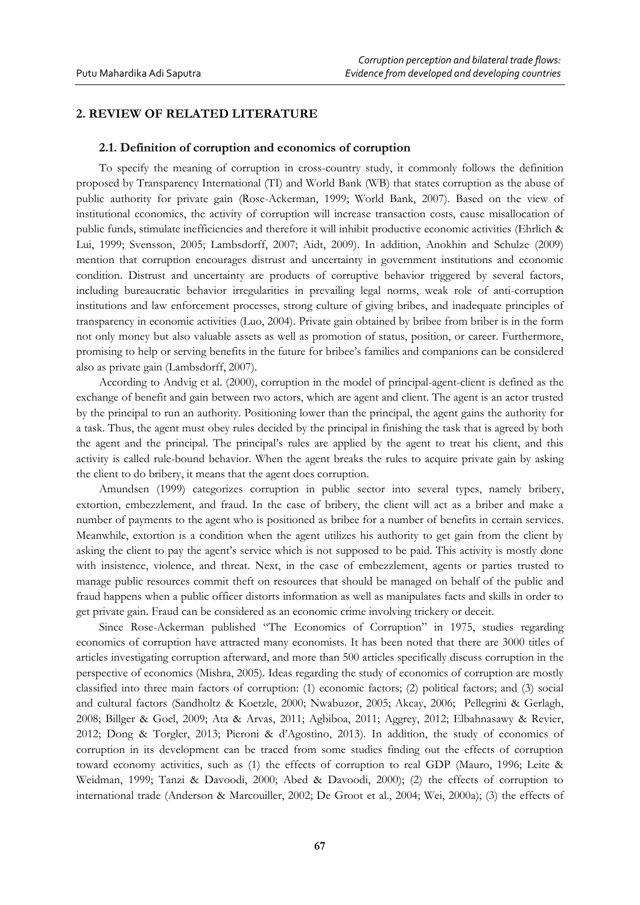# **2. REVIEW OF RELATED LITERATURE**

#### **2.1. Definition of corruption and economics of corruption**

To specify the meaning of corruption in cross-country study, it commonly follows the definition proposed by Transparency International (TI) and World Bank (WB) that states corruption as the abuse of public authority for private gain (Rose-Ackerman, 1999; World Bank, 2007). Based on the view of institutional economics, the activity of corruption will increase transaction costs, cause misallocation of public funds, stimulate inefficiencies and therefore it will inhibit productive economic activities (Ehrlich & Lui, 1999; Svensson, 2005; Lambsdorff, 2007; Aidt, 2009). In addition, Anokhin and Schulze (2009) mention that corruption encourages distrust and uncertainty in government institutions and economic condition. Distrust and uncertainty are products of corruptive behavior triggered by several factors, including bureaucratic behavior irregularities in prevailing legal norms, weak role of anti-corruption institutions and law enforcement processes, strong culture of giving bribes, and inadequate principles of transparency in economic activities (Luo, 2004). Private gain obtained by bribee from briber is in the form not only money but also valuable assets as well as promotion of status, position, or career. Furthermore, promising to help or serving benefits in the future for bribee's families and companions can be considered also as private gain (Lambsdorff, 2007).

According to Andvig et al. (2000), corruption in the model of principal-agent-client is defined as the exchange of benefit and gain between two actors, which are agent and client. The agent is an actor trusted by the principal to run an authority. Positioning lower than the principal, the agent gains the authority for a task. Thus, the agent must obey rules decided by the principal in finishing the task that is agreed by both the agent and the principal. The principal's rules are applied by the agent to treat his client, and this activity is called rule-bound behavior. When the agent breaks the rules to acquire private gain by asking the client to do bribery, it means that the agent does corruption.

Amundsen (1999) categorizes corruption in public sector into several types, namely bribery, extortion, embezzlement, and fraud. In the case of bribery, the client will act as a briber and make a number of payments to the agent who is positioned as bribee for a number of benefits in certain services. Meanwhile, extortion is a condition when the agent utilizes his authority to get gain from the client by asking the client to pay the agent's service which is not supposed to be paid. This activity is mostly done with insistence, violence, and threat. Next, in the case of embezzlement, agents or parties trusted to manage public resources commit theft on resources that should be managed on behalf of the public and fraud happens when a public officer distorts information as well as manipulates facts and skills in order to get private gain. Fraud can be considered as an economic crime involving trickery or deceit.

Since Rose-Ackerman published "The Economics of Corruption" in 1975, studies regarding economics of corruption have attracted many economists. It has been noted that there are 3000 titles of articles investigating corruption afterward, and more than 500 articles specifically discuss corruption in the perspective of economics (Mishra, 2005). Ideas regarding the study of economics of corruption are mostly classified into three main factors of corruption: (1) economic factors; (2) political factors; and (3) social and cultural factors (Sandholtz & Koetzle, 2000; Nwabuzor, 2005; Akcay, 2006; Pellegrini & Gerlagh, 2008; Billger & Goel, 2009; Ata & Arvas, 2011; Agbiboa, 2011; Aggrey, 2012; Elbahnasawy & Revier, 2012; Dong & Torgler, 2013; Pieroni & d'Agostino, 2013). In addition, the study of economics of corruption in its development can be traced from some studies finding out the effects of corruption toward economy activities, such as (1) the effects of corruption to real GDP (Mauro, 1996; Leite & Weidman, 1999; Tanzi & Davoodi, 2000; Abed & Davoodi, 2000); (2) the effects of corruption to international trade (Anderson & Marcouiller, 2002; De Groot et al., 2004; Wei, 2000a); (3) the effects of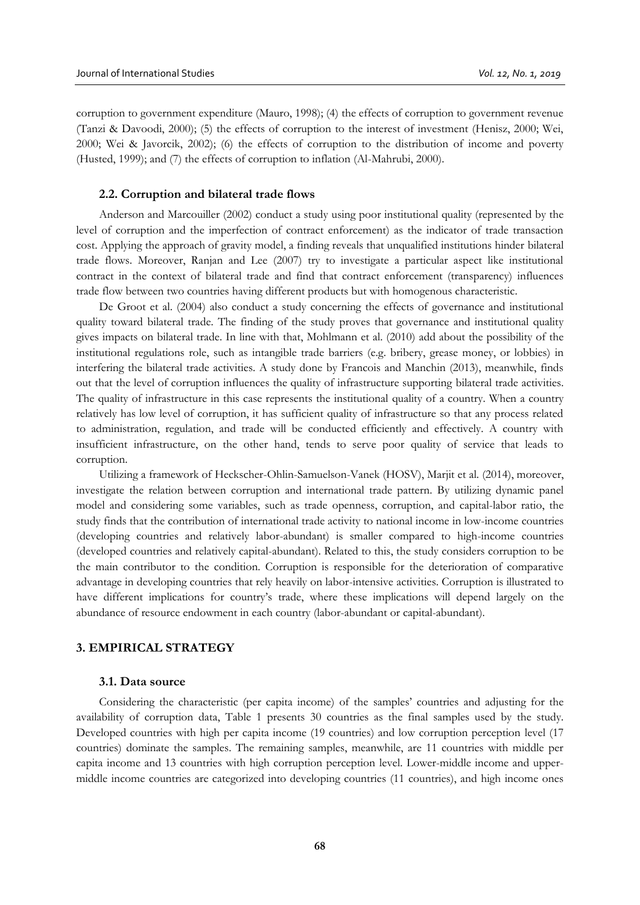corruption to government expenditure (Mauro, 1998); (4) the effects of corruption to government revenue (Tanzi & Davoodi, 2000); (5) the effects of corruption to the interest of investment (Henisz, 2000; Wei, 2000; Wei & Javorcik, 2002); (6) the effects of corruption to the distribution of income and poverty (Husted, 1999); and (7) the effects of corruption to inflation (Al-Mahrubi, 2000).

### **2.2. Corruption and bilateral trade flows**

Anderson and Marcouiller (2002) conduct a study using poor institutional quality (represented by the level of corruption and the imperfection of contract enforcement) as the indicator of trade transaction cost. Applying the approach of gravity model, a finding reveals that unqualified institutions hinder bilateral trade flows. Moreover, Ranjan and Lee (2007) try to investigate a particular aspect like institutional contract in the context of bilateral trade and find that contract enforcement (transparency) influences trade flow between two countries having different products but with homogenous characteristic.

De Groot et al. (2004) also conduct a study concerning the effects of governance and institutional quality toward bilateral trade. The finding of the study proves that governance and institutional quality gives impacts on bilateral trade. In line with that, Mohlmann et al. (2010) add about the possibility of the institutional regulations role, such as intangible trade barriers (e.g. bribery, grease money, or lobbies) in interfering the bilateral trade activities. A study done by Francois and Manchin (2013), meanwhile, finds out that the level of corruption influences the quality of infrastructure supporting bilateral trade activities. The quality of infrastructure in this case represents the institutional quality of a country. When a country relatively has low level of corruption, it has sufficient quality of infrastructure so that any process related to administration, regulation, and trade will be conducted efficiently and effectively. A country with insufficient infrastructure, on the other hand, tends to serve poor quality of service that leads to corruption.

Utilizing a framework of Heckscher-Ohlin-Samuelson-Vanek (HOSV), Marjit et al. (2014), moreover, investigate the relation between corruption and international trade pattern. By utilizing dynamic panel model and considering some variables, such as trade openness, corruption, and capital-labor ratio, the study finds that the contribution of international trade activity to national income in low-income countries (developing countries and relatively labor-abundant) is smaller compared to high-income countries (developed countries and relatively capital-abundant). Related to this, the study considers corruption to be the main contributor to the condition. Corruption is responsible for the deterioration of comparative advantage in developing countries that rely heavily on labor-intensive activities. Corruption is illustrated to have different implications for country's trade, where these implications will depend largely on the abundance of resource endowment in each country (labor-abundant or capital-abundant).

#### **3. EMPIRICAL STRATEGY**

### **3.1. Data source**

Considering the characteristic (per capita income) of the samples' countries and adjusting for the availability of corruption data, Table 1 presents 30 countries as the final samples used by the study. Developed countries with high per capita income (19 countries) and low corruption perception level (17 countries) dominate the samples. The remaining samples, meanwhile, are 11 countries with middle per capita income and 13 countries with high corruption perception level. Lower-middle income and uppermiddle income countries are categorized into developing countries (11 countries), and high income ones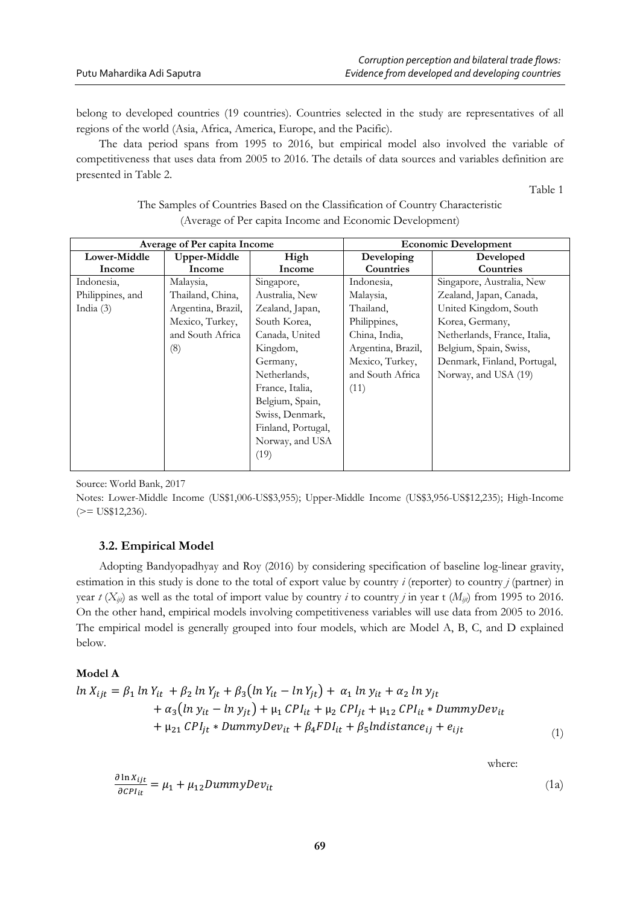belong to developed countries (19 countries). Countries selected in the study are representatives of all regions of the world (Asia, Africa, America, Europe, and the Pacific).

The data period spans from 1995 to 2016, but empirical model also involved the variable of competitiveness that uses data from 2005 to 2016. The details of data sources and variables definition are presented in Table 2.

Table 1

| Average of Per capita Income |                     |                    | <b>Economic Development</b> |                              |
|------------------------------|---------------------|--------------------|-----------------------------|------------------------------|
| Lower-Middle                 | <b>Upper-Middle</b> | High               | Developing                  | Developed                    |
| Income                       | Income              | Income             | Countries                   | Countries                    |
| Indonesia,                   | Malaysia,           | Singapore,         | Indonesia,                  | Singapore, Australia, New    |
| Philippines, and             | Thailand, China,    | Australia, New     | Malaysia,                   | Zealand, Japan, Canada,      |
| India $(3)$                  | Argentina, Brazil,  | Zealand, Japan,    | Thailand,                   | United Kingdom, South        |
|                              | Mexico, Turkey,     | South Korea,       | Philippines,                | Korea, Germany,              |
|                              | and South Africa    | Canada, United     | China, India,               | Netherlands, France, Italia, |
|                              | (8)                 | Kingdom,           | Argentina, Brazil,          | Belgium, Spain, Swiss,       |
|                              |                     | Germany,           | Mexico, Turkey,             | Denmark, Finland, Portugal,  |
|                              |                     | Netherlands,       | and South Africa            | Norway, and USA (19)         |
|                              |                     | France, Italia,    | (11)                        |                              |
|                              |                     | Belgium, Spain,    |                             |                              |
|                              |                     | Swiss, Denmark,    |                             |                              |
|                              |                     | Finland, Portugal, |                             |                              |
|                              |                     | Norway, and USA    |                             |                              |
|                              |                     | (19)               |                             |                              |
|                              |                     |                    |                             |                              |

The Samples of Countries Based on the Classification of Country Characteristic (Average of Per capita Income and Economic Development)

Source: World Bank, 2017

Notes: Lower-Middle Income (US\$1,006-US\$3,955); Upper-Middle Income (US\$3,956-US\$12,235); High-Income  $(>=$  US\$12,236).

## **3.2. Empirical Model**

Adopting Bandyopadhyay and Roy (2016) by considering specification of baseline log-linear gravity, estimation in this study is done to the total of export value by country *i* (reporter) to country *j* (partner) in year  $t$  ( $X_{ijl}$ ) as well as the total of import value by country *i* to country *j* in year t ( $M_{ijl}$ ) from 1995 to 2016. On the other hand, empirical models involving competitiveness variables will use data from 2005 to 2016. The empirical model is generally grouped into four models, which are Model A, B, C, and D explained below.

## **Model A**

$$
ln X_{ijt} = \beta_1 ln Y_{it} + \beta_2 ln Y_{jt} + \beta_3 (ln Y_{it} - ln Y_{jt}) + \alpha_1 ln y_{it} + \alpha_2 ln y_{jt}
$$
  
+  $\alpha_3 (ln y_{it} - ln y_{jt}) + \mu_1 CPI_{it} + \mu_2 CPI_{jt} + \mu_{12} CPI_{it} * DummyDev_{it}$   
+  $\mu_{21} CPI_{jt} * DummyDev_{it} + \beta_4 FDI_{it} + \beta_5 Indistance_{ij} + e_{ijt}$  (1)

where:

$$
\frac{\partial \ln X_{ijt}}{\partial c_{lij}} = \mu_1 + \mu_{12} DummyDev_{it}
$$
\n(1a)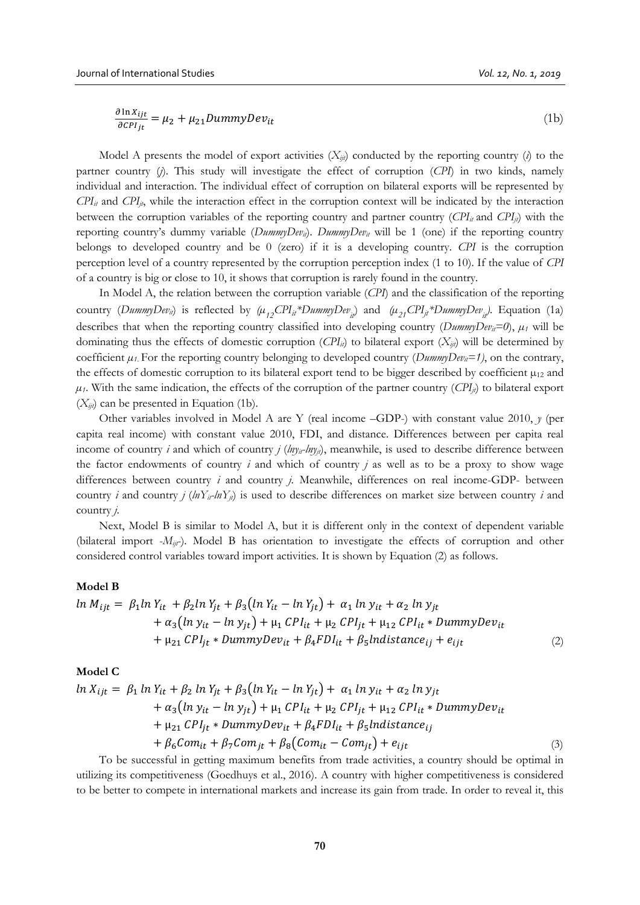$$
\frac{\partial \ln X_{ijt}}{\partial c_{1it}} = \mu_2 + \mu_{21} DummyDev_{it}
$$
\n(1b)

Model A presents the model of export activities  $(X_{ii})$  conducted by the reporting country (*i*) to the partner country (*j*). This study will investigate the effect of corruption (*CPI*) in two kinds, namely individual and interaction. The individual effect of corruption on bilateral exports will be represented by  $CPI<sub>i</sub>$  and  $CPI<sub>j</sub>$ , while the interaction effect in the corruption context will be indicated by the interaction between the corruption variables of the reporting country and partner country  $(CPI_{\rm i}$  and  $CPI_{\rm i}$ ) with the reporting country's dummy variable (*DummyDev<sub>ii</sub>*). *DummyDev<sub>it</sub>* will be 1 (one) if the reporting country belongs to developed country and be 0 (zero) if it is a developing country. *CPI* is the corruption perception level of a country represented by the corruption perception index (1 to 10). If the value of *CPI* of a country is big or close to 10, it shows that corruption is rarely found in the country.

In Model A, the relation between the corruption variable (*CPI*) and the classification of the reporting country (*DummyDev<sub>it</sub>*) is reflected by  $(\mu_{12}CPI_{it} * D \mu_{m}T)Dev_{it}$  and  $(\mu_{21}CPI_{it} * D \mu_{m}T)Dev_{it}$ ). Equation (1a) describes that when the reporting country classified into developing country ( $D \textit{ummyDev}_{ii} = 0$ ),  $\mu_1$  will be dominating thus the effects of domestic corruption  $(CPI_{ii})$  to bilateral export  $(X_{ii})$  will be determined by coefficient  $\mu_1$ . For the reporting country belonging to developed country (*DummyDev<sub>it</sub>*=1), on the contrary, the effects of domestic corruption to its bilateral export tend to be bigger described by coefficient  $\mu_{12}$  and  $\mu_1$ . With the same indication, the effects of the corruption of the partner country (*CPI<sub>i</sub>*) to bilateral export  $(X_{iii})$  can be presented in Equation (1b).

Other variables involved in Model A are Y (real income –GDP-) with constant value 2010, *y* (per capita real income) with constant value 2010, FDI, and distance. Differences between per capita real income of country *i* and which of country *j* (*lnyit-lnyjt*), meanwhile, is used to describe difference between the factor endowments of country  $i$  and which of country  $j$  as well as to be a proxy to show wage differences between country *i* and country *j*. Meanwhile, differences on real income-GDP- between country *i* and country *j* ( $lnY_i$ *-lnY<sub>il</sub>*) is used to describe differences on market size between country *i* and country *j*.

Next, Model B is similar to Model A, but it is different only in the context of dependent variable (bilateral import -*M*<sub>ijt</sub><sup>-</sup>). Model B has orientation to investigate the effects of corruption and other considered control variables toward import activities. It is shown by Equation (2) as follows.

#### **Model B**

$$
\ln M_{ijt} = \beta_1 \ln Y_{it} + \beta_2 \ln Y_{jt} + \beta_3 (\ln Y_{it} - \ln Y_{jt}) + \alpha_1 \ln y_{it} + \alpha_2 \ln y_{jt}
$$
  
+  $\alpha_3 (\ln y_{it} - \ln y_{jt}) + \mu_1 CPI_{it} + \mu_2 CPI_{it} + \mu_{12} CPI_{it} * \text{DummyDev}_{it}$   
+  $\mu_{21} CPI_{jt} * \text{DummyDev}_{it} + \beta_4 FDI_{it} + \beta_5 \text{Indistance}_{ij} + e_{ijt}$  (2)

#### **Model C**

$$
\ln X_{ijt} = \beta_1 \ln Y_{it} + \beta_2 \ln Y_{jt} + \beta_3 (\ln Y_{it} - \ln Y_{jt}) + \alpha_1 \ln y_{it} + \alpha_2 \ln y_{jt} + \alpha_3 (\ln y_{it} - \ln y_{jt}) + \mu_1 \, CPI_{it} + \mu_2 \, CPI_{jt} + \mu_{12} \, CPI_{it} * DummyDev_{it} + \mu_{21} \, CPI_{jt} * DummyDev_{it} + \beta_4 FDI_{it} + \beta_5 Indistance_{ij} + \beta_6 Com_{it} + \beta_7 Com_{jt} + \beta_8 (Com_{it} - Com_{jt}) + e_{ijt}
$$
(3)

To be successful in getting maximum benefits from trade activities, a country should be optimal in utilizing its competitiveness (Goedhuys et al., 2016). A country with higher competitiveness is considered to be better to compete in international markets and increase its gain from trade. In order to reveal it, this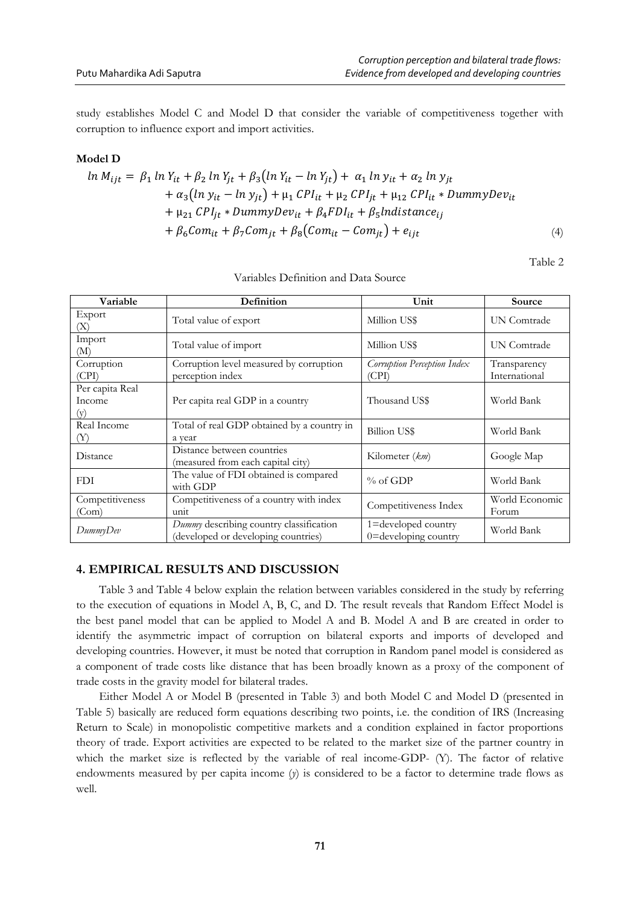study establishes Model C and Model D that consider the variable of competitiveness together with corruption to influence export and import activities.

## **Model D**

$$
\ln M_{ijt} = \beta_1 \ln Y_{it} + \beta_2 \ln Y_{jt} + \beta_3 (\ln Y_{it} - \ln Y_{jt}) + \alpha_1 \ln y_{it} + \alpha_2 \ln y_{jt}
$$
  
+  $\alpha_3 (\ln y_{it} - \ln y_{jt}) + \mu_1 CPI_{it} + \mu_2 CPI_{jt} + \mu_{12} CPI_{it} * DummyDev_{it}$   
+  $\mu_{21} CPI_{jt} * DummyDev_{it} + \beta_4 FDI_{it} + \beta_5 Indistance_{ij}$   
+  $\beta_6 Com_{it} + \beta_7 Com_{jt} + \beta_8 (Com_{it} - Com_{jt}) + e_{ijt}$  (4)

Table 2

| Variable                         | Definition                                                                     | Unit                                            | Source                        |
|----------------------------------|--------------------------------------------------------------------------------|-------------------------------------------------|-------------------------------|
| Export<br>(X)                    | Total value of export                                                          | Million US\$                                    | UN Comtrade                   |
| Import<br>(M)                    | Total value of import                                                          | Million US\$                                    | UN Comtrade                   |
| Corruption<br>(CPI)              | Corruption level measured by corruption<br>perception index                    | Corruption Perception Index<br>(CPI)            | Transparency<br>International |
| Per capita Real<br>Income<br>(y) | Per capita real GDP in a country                                               | Thousand US\$                                   | World Bank                    |
| Real Income<br>(Y)               | Total of real GDP obtained by a country in<br>a vear                           | Billion US\$                                    | World Bank                    |
| Distance                         | Distance between countries<br>(measured from each capital city)                | Kilometer (km)                                  | Google Map                    |
| <b>FDI</b>                       | The value of FDI obtained is compared<br>with GDP                              | $%$ of GDP                                      | World Bank                    |
| Competitiveness<br>(Com)         | Competitiveness of a country with index<br>unit                                | Competitiveness Index                           | World Economic<br>Forum       |
| DummyDev                         | Dummy describing country classification<br>(developed or developing countries) | 1=developed country<br>$0 =$ developing country | World Bank                    |

Variables Definition and Data Source

## **4. EMPIRICAL RESULTS AND DISCUSSION**

Table 3 and Table 4 below explain the relation between variables considered in the study by referring to the execution of equations in Model A, B, C, and D. The result reveals that Random Effect Model is the best panel model that can be applied to Model A and B. Model A and B are created in order to identify the asymmetric impact of corruption on bilateral exports and imports of developed and developing countries. However, it must be noted that corruption in Random panel model is considered as a component of trade costs like distance that has been broadly known as a proxy of the component of trade costs in the gravity model for bilateral trades.

Either Model A or Model B (presented in Table 3) and both Model C and Model D (presented in Table 5) basically are reduced form equations describing two points, i.e. the condition of IRS (Increasing Return to Scale) in monopolistic competitive markets and a condition explained in factor proportions theory of trade. Export activities are expected to be related to the market size of the partner country in which the market size is reflected by the variable of real income-GDP- (Y). The factor of relative endowments measured by per capita income (*y*) is considered to be a factor to determine trade flows as well.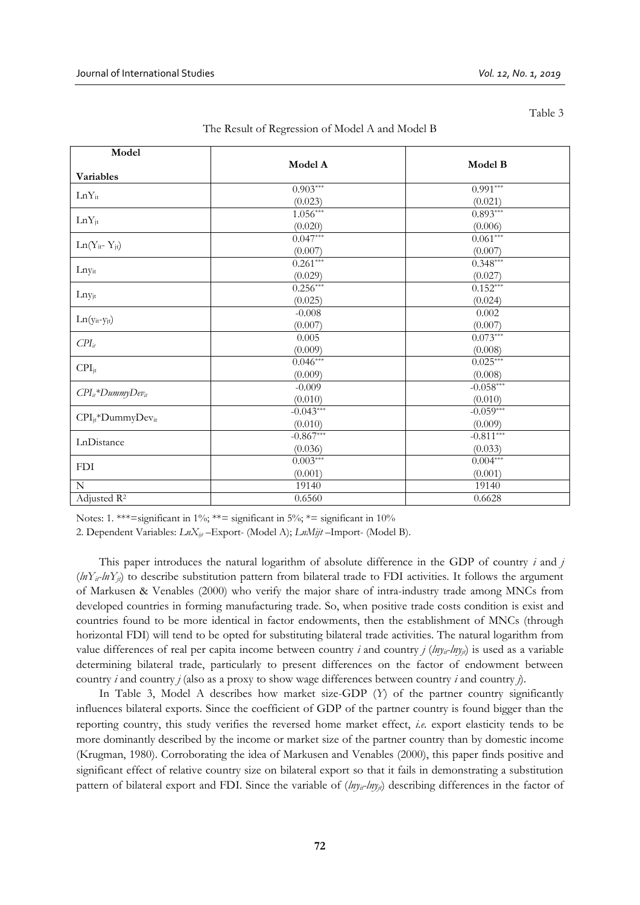Table 3

| Model                                                     |             |             |
|-----------------------------------------------------------|-------------|-------------|
|                                                           | Model A     | Model B     |
| Variables                                                 |             |             |
|                                                           | $0.903***$  | $0.991***$  |
| $LnY_{it}$                                                | (0.023)     | (0.021)     |
|                                                           | $1.056***$  | $0.893***$  |
| $LnY_{jt}$                                                | (0.020)     | (0.006)     |
|                                                           | $0.047***$  | $0.061***$  |
| $Ln(Y_{it} - Y_{jt})$                                     | (0.007)     | (0.007)     |
|                                                           | $0.261***$  | $0.348***$  |
| $Lny_{it}$                                                | (0.029)     | (0.027)     |
| $Lny_{jt}$                                                | $0.256***$  | $0.152***$  |
|                                                           | (0.025)     | (0.024)     |
| $Ln(y_{it} - y_{jt})$                                     | $-0.008$    | 0.002       |
|                                                           | (0.007)     | (0.007)     |
| $CPI_{it}$                                                | 0.005       | $0.073***$  |
|                                                           | (0.009)     | (0.008)     |
| $\text{CPI}_{\text{it}}$                                  | $0.046***$  | $0.025***$  |
|                                                           | (0.009)     | (0.008)     |
| $CPI_{it}$ *DummyDe $v_{it}$                              | $-0.009$    | $-0.058***$ |
|                                                           | (0.010)     | (0.010)     |
| $\text{CPI}_{\text{it}}^*$ Dummy $\text{Dev}_{\text{it}}$ | $-0.043***$ | $-0.059***$ |
|                                                           | (0.010)     | (0.009)     |
| LnDistance                                                | $-0.867***$ | $-0.811***$ |
|                                                           | (0.036)     | (0.033)     |
| ${\rm FDI}$                                               | $0.003***$  | $0.004***$  |
|                                                           | (0.001)     | (0.001)     |
| $\overline{N}$                                            | 19140       | 19140       |
| Adjusted R <sup>2</sup>                                   | 0.6560      | 0.6628      |

#### The Result of Regression of Model A and Model B

Notes: 1. \*\*\*=significant in 1%; \*\*= significant in 5%; \*= significant in 10%

2. Dependent Variables: *LnXijt* –Export- (Model A); *LnMijt* –Import- (Model B).

This paper introduces the natural logarithm of absolute difference in the GDP of country *i* and *j*   $(hY_{it}-hY_{it})$  to describe substitution pattern from bilateral trade to FDI activities. It follows the argument of Markusen & Venables (2000) who verify the major share of intra-industry trade among MNCs from developed countries in forming manufacturing trade. So, when positive trade costs condition is exist and countries found to be more identical in factor endowments, then the establishment of MNCs (through horizontal FDI) will tend to be opted for substituting bilateral trade activities. The natural logarithm from value differences of real per capita income between country *i* and country  $j$  ( $lny_i$ *-lny<sub>ii</sub>*) is used as a variable determining bilateral trade, particularly to present differences on the factor of endowment between country *i* and country *j* (also as a proxy to show wage differences between country *i* and country *j*).

In Table 3, Model A describes how market size-GDP (*Y*) of the partner country significantly influences bilateral exports. Since the coefficient of GDP of the partner country is found bigger than the reporting country, this study verifies the reversed home market effect, *i.e.* export elasticity tends to be more dominantly described by the income or market size of the partner country than by domestic income (Krugman, 1980). Corroborating the idea of Markusen and Venables (2000), this paper finds positive and significant effect of relative country size on bilateral export so that it fails in demonstrating a substitution pattern of bilateral export and FDI. Since the variable of  $(h_{\nu}$ *i<sub>t</sub>-lny<sub>il</sub>*) describing differences in the factor of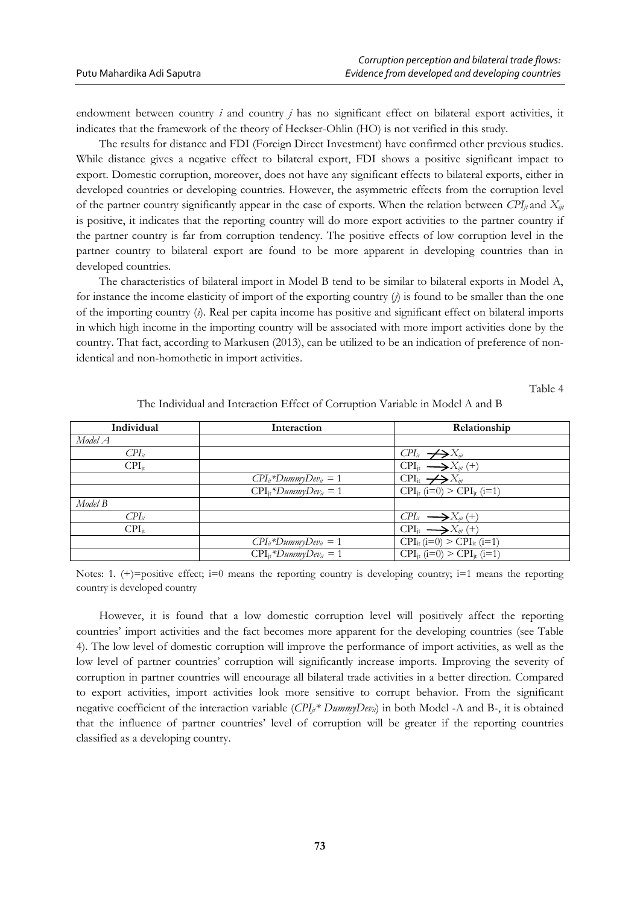endowment between country *i* and country *j* has no significant effect on bilateral export activities, it indicates that the framework of the theory of Heckser-Ohlin (HO) is not verified in this study.

The results for distance and FDI (Foreign Direct Investment) have confirmed other previous studies. While distance gives a negative effect to bilateral export, FDI shows a positive significant impact to export. Domestic corruption, moreover, does not have any significant effects to bilateral exports, either in developed countries or developing countries. However, the asymmetric effects from the corruption level of the partner country significantly appear in the case of exports. When the relation between *CPIjt* and *Xijt* is positive, it indicates that the reporting country will do more export activities to the partner country if the partner country is far from corruption tendency. The positive effects of low corruption level in the partner country to bilateral export are found to be more apparent in developing countries than in developed countries.

The characteristics of bilateral import in Model B tend to be similar to bilateral exports in Model A, for instance the income elasticity of import of the exporting country (*j*) is found to be smaller than the one of the importing country (*i*). Real per capita income has positive and significant effect on bilateral imports in which high income in the importing country will be associated with more import activities done by the country. That fact, according to Markusen (2013), can be utilized to be an indication of preference of nonidentical and non-homothetic in import activities.

Table 4

| Individual               | Interaction                                  | Relationship                                                     |
|--------------------------|----------------------------------------------|------------------------------------------------------------------|
| $Model\,A$               |                                              |                                                                  |
| $CPI_{it}$               |                                              | $CPI_{it}$ $\rightarrow$ $X_{ijt}$                               |
| $\text{CPI}_{\text{it}}$ |                                              | $\text{CPI}_{\text{it}} \longrightarrow X_{\text{it}}(\text{+})$ |
|                          | $CPI_{it}$ *DummyDe $v_{it} = 1$             | $\text{CPI}_{\text{it}} \longrightarrow X_{\text{it}}$           |
|                          | $\text{CPI}_{it}^*D \text{ummyDev}_{it} = 1$ | $CPI_{it}$ (i=0) > $CPI_{it}$ (i=1)                              |
| Model B                  |                                              |                                                                  |
| $CPI_{it}$               |                                              | $CPI_{ii} \longrightarrow X_{ij}$ (+)                            |
| $\text{CPI}_{\text{it}}$ |                                              | $\text{CPI}_{\text{it}} \longrightarrow X_{\text{it}}(\text{+})$ |
|                          | $CPI_{it} *D \text{ummy} Dev_{it} = 1$       | $CPI_{it} (i=0) > CPI_{it} (i=1)$                                |
|                          | $\text{CPI}_{it}^*D \text{ummyDev}_{it} = 1$ | $CPI_{it}$ (i=0) > $CPI_{it}$ (i=1)                              |

The Individual and Interaction Effect of Corruption Variable in Model A and B

Notes: 1.  $(+)$ =positive effect; i=0 means the reporting country is developing country; i=1 means the reporting country is developed country

However, it is found that a low domestic corruption level will positively affect the reporting countries' import activities and the fact becomes more apparent for the developing countries (see Table 4). The low level of domestic corruption will improve the performance of import activities, as well as the low level of partner countries' corruption will significantly increase imports. Improving the severity of corruption in partner countries will encourage all bilateral trade activities in a better direction. Compared to export activities, import activities look more sensitive to corrupt behavior. From the significant negative coefficient of the interaction variable ( $CPI_i * DummyDev_i$ ) in both Model -A and B-, it is obtained that the influence of partner countries' level of corruption will be greater if the reporting countries classified as a developing country.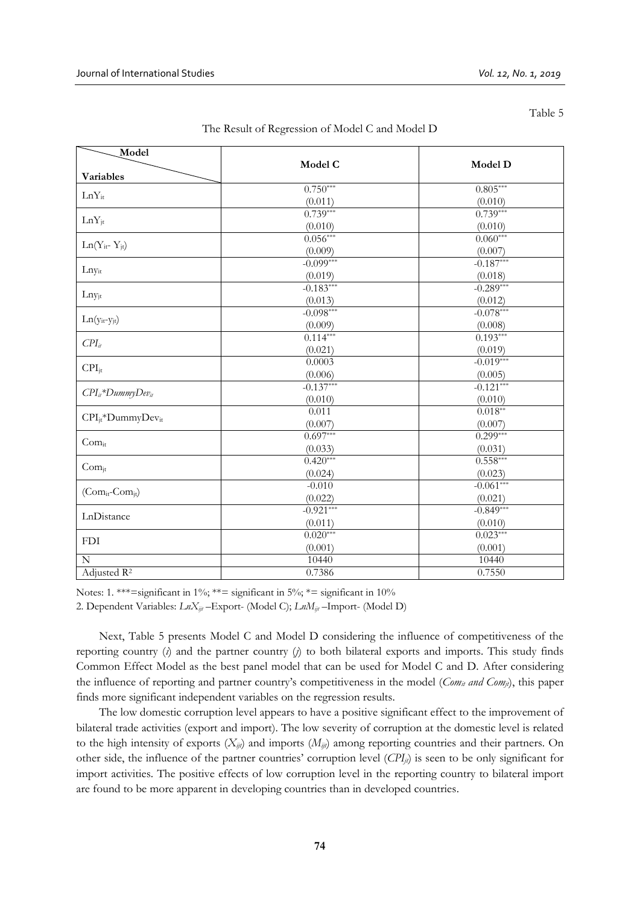Table 5

| Model                                       |             |             |
|---------------------------------------------|-------------|-------------|
|                                             | Model C     | Model D     |
| Variables                                   |             |             |
| $LnY_{it}$                                  | $0.750***$  | $0.805***$  |
|                                             | (0.011)     | (0.010)     |
| $LnY_{it}$                                  | $0.739***$  | $0.739***$  |
|                                             | (0.010)     | (0.010)     |
| $Ln(Y_{it} - Y_{jt})$                       | $0.056***$  | $0.060***$  |
|                                             | (0.009)     | (0.007)     |
| $Lny_{it}$                                  | $-0.099***$ | $-0.187***$ |
|                                             | (0.019)     | (0.018)     |
| $Lny_{jt}$                                  | $-0.183***$ | $-0.289***$ |
|                                             | (0.013)     | (0.012)     |
|                                             | $-0.098***$ | $-0.078***$ |
| $Ln(y_{it} - y_{jt})$                       | (0.009)     | (0.008)     |
| $CPI_{it}$                                  | $0.114***$  | $0.193***$  |
|                                             | (0.021)     | (0.019)     |
|                                             | 0.0003      | $-0.019***$ |
| $CPI_{it}$                                  | (0.006)     | (0.005)     |
|                                             | $-0.137***$ | $-0.121***$ |
| $CPI_{it}$ *DummyDevit                      | (0.010)     | (0.010)     |
|                                             | 0.011       | $0.018**$   |
| $\text{CPI}_{it}^*$ Dummy $\text{Dev}_{it}$ | (0.007)     | (0.007)     |
|                                             | $0.697***$  | $0.299***$  |
| $Com_{it}$                                  | (0.033)     | (0.031)     |
|                                             | $0.420***$  | $0.558***$  |
| $Com_{it}$                                  | (0.024)     | (0.023)     |
|                                             | $-0.010$    | $-0.061***$ |
| $(Com_{it}\text{-}Com_{it})$                | (0.022)     | (0.021)     |
|                                             | $-0.921***$ | $-0.849***$ |
| LnDistance                                  | (0.011)     | (0.010)     |
|                                             | $0.020***$  | $0.023***$  |
| <b>FDI</b>                                  | (0.001)     | (0.001)     |
| $\mathbf N$                                 | 10440       | 10440       |
| Adjusted R <sup>2</sup>                     | 0.7386      | 0.7550      |

#### The Result of Regression of Model C and Model D

Notes: 1. \*\*\*=significant in 1%; \*\*= significant in 5%; \*= significant in 10%

2. Dependent Variables: *LnXijt* –Export- (Model C); *LnMijt* –Import- (Model D)

Next, Table 5 presents Model C and Model D considering the influence of competitiveness of the reporting country (*i*) and the partner country (*j*) to both bilateral exports and imports. This study finds Common Effect Model as the best panel model that can be used for Model C and D. After considering the influence of reporting and partner country's competitiveness in the model (*Com<sub>it</sub>* and *Com<sub>it</sub>*), this paper finds more significant independent variables on the regression results.

The low domestic corruption level appears to have a positive significant effect to the improvement of bilateral trade activities (export and import). The low severity of corruption at the domestic level is related to the high intensity of exports  $(X_{ijt})$  and imports  $(M_{ijt})$  among reporting countries and their partners. On other side, the influence of the partner countries' corruption level  $(CPI<sub>i</sub>)$  is seen to be only significant for import activities. The positive effects of low corruption level in the reporting country to bilateral import are found to be more apparent in developing countries than in developed countries.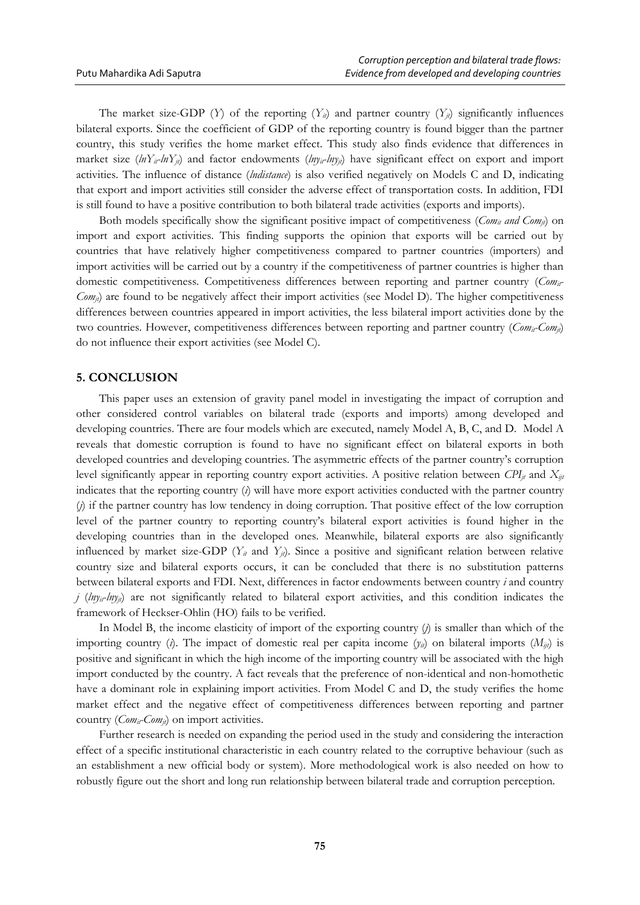The market size-GDP (*Y*) of the reporting  $(Y_i)$  and partner country  $(Y_i)$  significantly influences bilateral exports. Since the coefficient of GDP of the reporting country is found bigger than the partner country, this study verifies the home market effect. This study also finds evidence that differences in market size  $(hY_{ir}hY_{jl})$  and factor endowments  $(hy_{ir}h y_{jl})$  have significant effect on export and import activities. The influence of distance (*lndistance*) is also verified negatively on Models C and D, indicating that export and import activities still consider the adverse effect of transportation costs. In addition, FDI is still found to have a positive contribution to both bilateral trade activities (exports and imports).

Both models specifically show the significant positive impact of competitiveness (*Comit and Comjt*) on import and export activities. This finding supports the opinion that exports will be carried out by countries that have relatively higher competitiveness compared to partner countries (importers) and import activities will be carried out by a country if the competitiveness of partner countries is higher than domestic competitiveness. Competitiveness differences between reporting and partner country (*Comit-Com<sub>il</sub>*) are found to be negatively affect their import activities (see Model D). The higher competitiveness differences between countries appeared in import activities, the less bilateral import activities done by the two countries. However, competitiveness differences between reporting and partner country (*Comit-Comjt*) do not influence their export activities (see Model C).

#### **5. CONCLUSION**

This paper uses an extension of gravity panel model in investigating the impact of corruption and other considered control variables on bilateral trade (exports and imports) among developed and developing countries. There are four models which are executed, namely Model A, B, C, and D. Model A reveals that domestic corruption is found to have no significant effect on bilateral exports in both developed countries and developing countries. The asymmetric effects of the partner country's corruption level significantly appear in reporting country export activities. A positive relation between *CPI<sub>jt</sub>* and  $X_{ijt}$ indicates that the reporting country (*i*) will have more export activities conducted with the partner country (*j*) if the partner country has low tendency in doing corruption. That positive effect of the low corruption level of the partner country to reporting country's bilateral export activities is found higher in the developing countries than in the developed ones. Meanwhile, bilateral exports are also significantly influenced by market size-GDP ( $Y_i$  and  $Y_i$ ). Since a positive and significant relation between relative country size and bilateral exports occurs, it can be concluded that there is no substitution patterns between bilateral exports and FDI. Next, differences in factor endowments between country *i* and country *j* ( $lny_i$ - $lny_i$ ) are not significantly related to bilateral export activities, and this condition indicates the framework of Heckser-Ohlin (HO) fails to be verified.

In Model B, the income elasticity of import of the exporting country (*j*) is smaller than which of the importing country (*i*). The impact of domestic real per capita income ( $y_i$ ) on bilateral imports ( $M_{ii}$ ) is positive and significant in which the high income of the importing country will be associated with the high import conducted by the country. A fact reveals that the preference of non-identical and non-homothetic have a dominant role in explaining import activities. From Model C and D, the study verifies the home market effect and the negative effect of competitiveness differences between reporting and partner country (*Comit-Comjt*) on import activities.

Further research is needed on expanding the period used in the study and considering the interaction effect of a specific institutional characteristic in each country related to the corruptive behaviour (such as an establishment a new official body or system). More methodological work is also needed on how to robustly figure out the short and long run relationship between bilateral trade and corruption perception.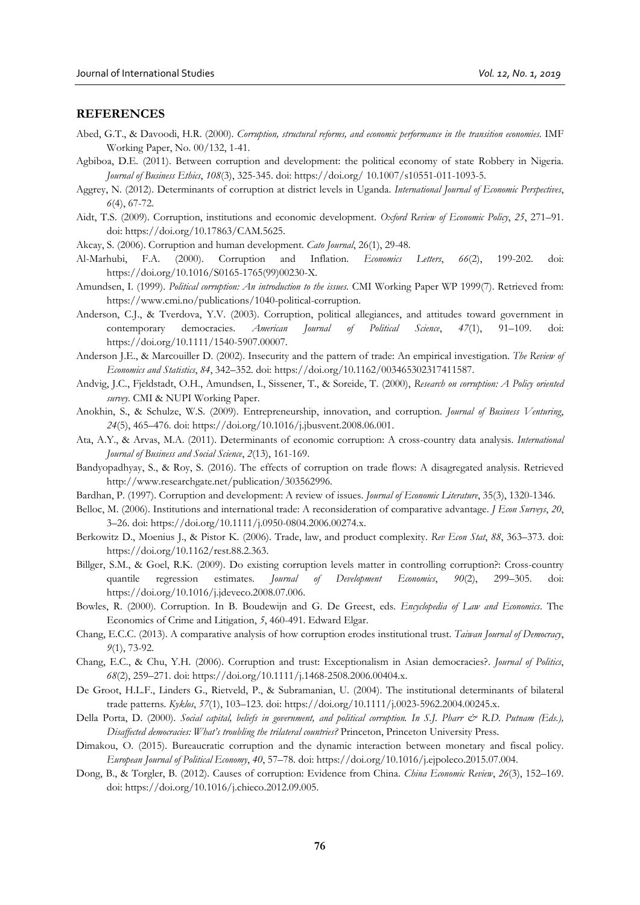# **REFERENCES**

- Abed, G.T., & Davoodi, H.R. (2000). *Corruption, structural reforms, and economic performance in the transition economies*. IMF Working Paper, No. 00/132, 1-41.
- Agbiboa, D.E. (2011). Between corruption and development: the political economy of state Robbery in Nigeria. *Journal of Business Ethics*, *108*(3), 325-345. doi: https://doi.org/ 10.1007/s10551-011-1093-5.
- Aggrey, N. (2012). Determinants of corruption at district levels in Uganda. *International Journal of Economic Perspectives*, *6*(4), 67-72.
- Aidt, T.S. (2009). Corruption, institutions and economic development. *Oxford Review of Economic Policy*, *25*, 271–91. doi: https://doi.org/10.17863/CAM.5625.
- Akcay, S. (2006). Corruption and human development. *Cato Journal*, 26(1), 29-48.
- Al-Marhubi, F.A. (2000). Corruption and Inflation. *Economics Letters*, *66*(2), 199-202. doi: https://doi.org/10.1016/S0165-1765(99)00230-X.
- Amundsen, I. (1999). *Political corruption: An introduction to the issues.* CMI Working Paper WP 1999(7). Retrieved from: https://www.cmi.no/publications/1040-political-corruption.
- Anderson, C.J., & Tverdova, Y.V. (2003). Corruption, political allegiances, and attitudes toward government in contemporary democracies. *American Journal of Political Science*, *47*(1), 91–109. doi: https://doi.org/10.1111/1540-5907.00007.
- Anderson J.E., & Marcouiller D. (2002). Insecurity and the pattern of trade: An empirical investigation. *The Review of Economics and Statistics*, *84*, 342–352. doi: https://doi.org/10.1162/003465302317411587.
- Andvig, J.C., Fjeldstadt, O.H., Amundsen, I., Sissener, T., & Soreide, T. (2000), *Research on corruption: A Policy oriented survey*. CMI & NUPI Working Paper.
- Anokhin, S., & Schulze, W.S. (2009). Entrepreneurship, innovation, and corruption. *Journal of Business Venturing*, *24*(5), 465–476. doi: https://doi.org/10.1016/j.jbusvent.2008.06.001.
- Ata, A.Y., & Arvas, M.A. (2011). Determinants of economic corruption: A cross-country data analysis. *International Journal of Business and Social Science*, *2*(13), 161-169.
- Bandyopadhyay, S., & Roy, S. (2016). The effects of corruption on trade flows: A disagregated analysis. Retrieved http://www.researchgate.net/publication/303562996.
- Bardhan, P. (1997). Corruption and development: A review of issues. *Journal of Economic Literature*, 35(3), 1320-1346.
- Belloc, M. (2006). Institutions and international trade: A reconsideration of comparative advantage. *J Econ Surveys*, *20*, 3–26. doi: https://doi.org/10.1111/j.0950-0804.2006.00274.x.
- Berkowitz D., Moenius J., & Pistor K. (2006). Trade, law, and product complexity. *Rev Econ Stat*, *88*, 363–373. doi: https://doi.org/10.1162/rest.88.2.363.
- Billger, S.M., & Goel, R.K. (2009). Do existing corruption levels matter in controlling corruption?: Cross-country quantile regression estimates*. Journal of Development Economics*, *90*(2), 299–305. doi: https://doi.org/10.1016/j.jdeveco.2008.07.006.
- Bowles, R. (2000). Corruption. In B. Boudewijn and G. De Greest, eds. *Encyclopedia of Law and Economics*. The Economics of Crime and Litigation, *5*, 460-491. Edward Elgar.
- Chang, E.C.C. (2013). A comparative analysis of how corruption erodes institutional trust. *Taiwan Journal of Democracy*, *9*(1), 73-92.
- Chang, E.C., & Chu, Y.H. (2006). Corruption and trust: Exceptionalism in Asian democracies?. *Journal of Politics*, *68*(2), 259–271. doi: https://doi.org/10.1111/j.1468-2508.2006.00404.x.
- De Groot, H.L.F., Linders G., Rietveld, P., & Subramanian, U. (2004). The institutional determinants of bilateral trade patterns. *Kyklos*, *57*(1), 103–123. doi: https://doi.org/10.1111/j.0023-5962.2004.00245.x.
- Della Porta, D. (2000). *Social capital, beliefs in government, and political corruption. In S.J. Pharr & R.D. Putnam (Eds.)*, *Disaffected democracies: What's troubling the trilateral countries?* Princeton, Princeton University Press.
- Dimakou, O. (2015). Bureaucratic corruption and the dynamic interaction between monetary and fiscal policy. *European Journal of Political Economy*, *40*, 57–78. doi: https://doi.org/10.1016/j.ejpoleco.2015.07.004.
- Dong, B., & Torgler, B. (2012). Causes of corruption: Evidence from China. *China Economic Review*, *26*(3), 152–169. doi: https://doi.org/10.1016/j.chieco.2012.09.005.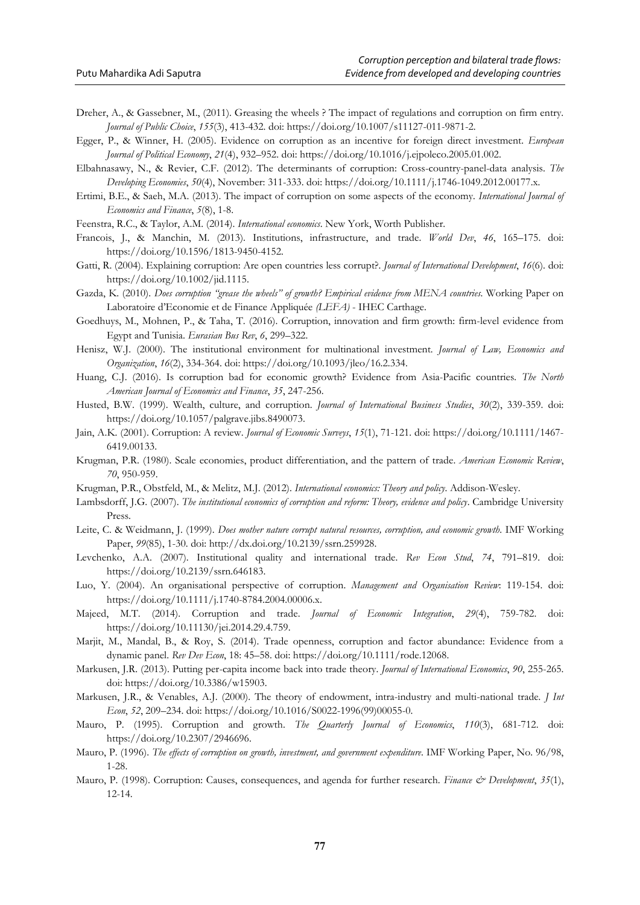- Dreher, A., & Gassebner, M., (2011). Greasing the wheels ? The impact of regulations and corruption on firm entry. *Journal of Public Choice*, *155*(3), 413-432. doi: https://doi.org/10.1007/s11127-011-9871-2.
- Egger, P., & Winner, H. (2005). Evidence on corruption as an incentive for foreign direct investment. *European Journal of Political Economy*, *21*(4), 932–952. doi: https://doi.org/10.1016/j.ejpoleco.2005.01.002.
- Elbahnasawy, N., & Revier, C.F. (2012). The determinants of corruption: Cross-country-panel-data analysis. *The Developing Economies*, *50*(4), November: 311-333. doi: https://doi.org/10.1111/j.1746-1049.2012.00177.x.
- Ertimi, B.E., & Saeh, M.A. (2013). The impact of corruption on some aspects of the economy*. International Journal of Economics and Finance*, *5*(8), 1-8.
- Feenstra, R.C., & Taylor, A.M. (2014). *International economics*. New York, Worth Publisher.
- Francois, J., & Manchin, M. (2013). Institutions, infrastructure, and trade. *World Dev*, *46*, 165–175. doi: https://doi.org/10.1596/1813-9450-4152.
- Gatti, R. (2004). Explaining corruption: Are open countries less corrupt?. *Journal of International Development*, *16*(6). doi: https://doi.org/10.1002/jid.1115.
- Gazda, K. (2010). *Does corruption "grease the wheels" of growth? Empirical evidence from MENA countries*. Working Paper on Laboratoire d'Economie et de Finance Appliquée *(LEFA)* - IHEC Carthage.
- Goedhuys, M., Mohnen, P., & Taha, T. (2016). Corruption, innovation and firm growth: firm-level evidence from Egypt and Tunisia. *Eurasian Bus Rev*, *6*, 299–322.
- Henisz, W.J. (2000). The institutional environment for multinational investment*. Journal of Law, Economics and Organization*, *16*(2), 334-364. doi: https://doi.org/10.1093/jleo/16.2.334.
- Huang, C.J. (2016). Is corruption bad for economic growth? Evidence from Asia-Pacific countries*. The North American Journal of Economics and Finance*, *35*, 247-256.
- Husted, B.W. (1999). Wealth, culture, and corruption. *Journal of International Business Studies*, *30*(2), 339-359. doi: https://doi.org/10.1057/palgrave.jibs.8490073.
- Jain, A.K. (2001). Corruption: A review. *Journal of Economic Surveys*, *15*(1), 71-121. doi: https://doi.org/10.1111/1467- 6419.00133.
- Krugman, P.R. (1980). Scale economies, product differentiation, and the pattern of trade. *American Economic Review*, *70*, 950-959.
- Krugman, P.R., Obstfeld, M., & Melitz, M.J. (2012). *International economics: Theory and policy*. Addison-Wesley.
- Lambsdorff, J.G. (2007). *The institutional economics of corruption and reform: Theory, evidence and policy*. Cambridge University Press.
- Leite, C. & Weidmann, J. (1999). *Does mother nature corrupt natural resources, corruption, and economic growth*. IMF Working Paper, *99*(85), 1-30. doi: http://dx.doi.org/10.2139/ssrn.259928.
- Levchenko, A.A. (2007). Institutional quality and international trade. *Rev Econ Stud*, *74*, 791–819. doi: https://doi.org/10.2139/ssrn.646183.
- Luo, Y. (2004). An organisational perspective of corruption. *Management and Organisation Review*: 119-154. doi: https://doi.org/10.1111/j.1740-8784.2004.00006.x.
- Majeed, M.T. (2014). Corruption and trade. *Journal of Economic Integration*, *29*(4), 759-782. doi: https://doi.org/10.11130/jei.2014.29.4.759.
- Marjit, M., Mandal, B., & Roy, S. (2014). Trade openness, corruption and factor abundance: Evidence from a dynamic panel. *Rev Dev Econ*, 18: 45–58. doi: https://doi.org/10.1111/rode.12068.
- Markusen, J.R. (2013). Putting per-capita income back into trade theory. *Journal of International Economics*, *90*, 255-265. doi: https://doi.org/10.3386/w15903.
- Markusen, J.R., & Venables, A.J. (2000). The theory of endowment, intra-industry and multi-national trade*. J Int Econ*, *52*, 209–234. doi: https://doi.org/10.1016/S0022-1996(99)00055-0.
- Mauro, P. (1995). Corruption and growth. *The Quarterly Journal of Economics*, *110*(3), 681-712. doi: https://doi.org/10.2307/2946696.
- Mauro, P. (1996). *The effects of corruption on growth, investment, and government expenditure*. IMF Working Paper, No. 96/98, 1-28.
- Mauro, P. (1998). Corruption: Causes, consequences, and agenda for further research. *Finance & Development*, 35(1), 12-14.